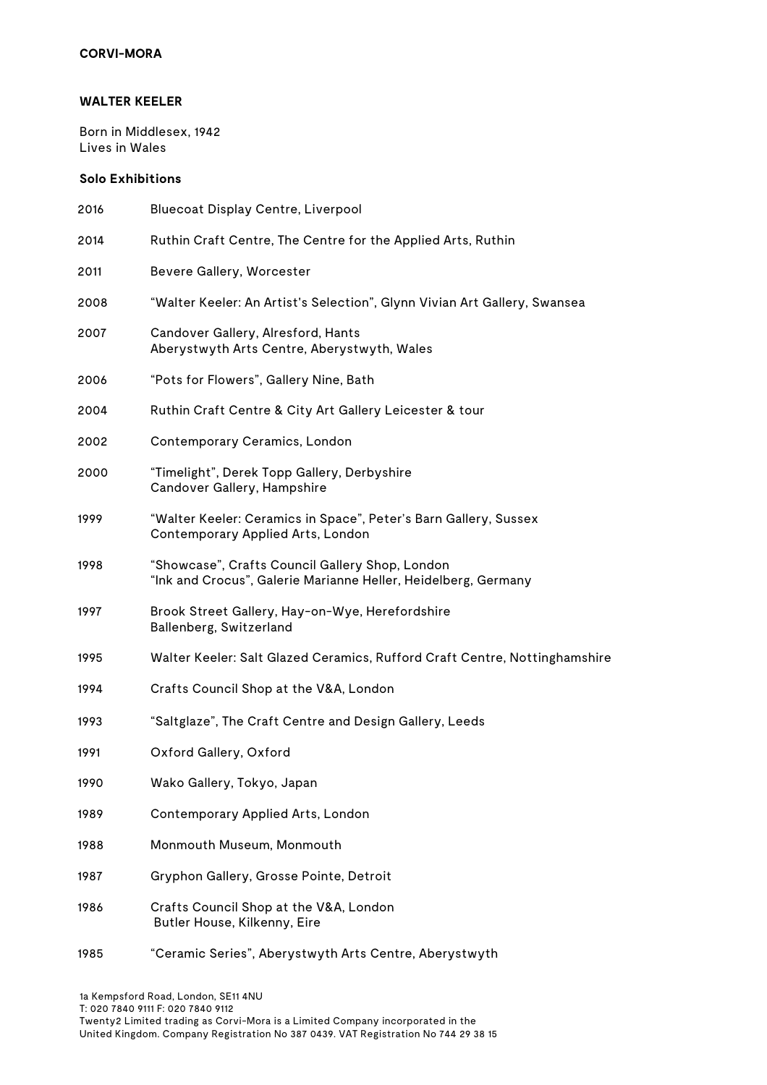## **WALTER KEELER**

Born in Middlesex, 1942 Lives in Wales

## **Solo Exhibitions**

| 2016 | Bluecoat Display Centre, Liverpool                                                                                |
|------|-------------------------------------------------------------------------------------------------------------------|
| 2014 | Ruthin Craft Centre, The Centre for the Applied Arts, Ruthin                                                      |
| 2011 | Bevere Gallery, Worcester                                                                                         |
| 2008 | "Walter Keeler: An Artist's Selection", Glynn Vivian Art Gallery, Swansea                                         |
| 2007 | Candover Gallery, Alresford, Hants<br>Aberystwyth Arts Centre, Aberystwyth, Wales                                 |
| 2006 | "Pots for Flowers", Gallery Nine, Bath                                                                            |
| 2004 | Ruthin Craft Centre & City Art Gallery Leicester & tour                                                           |
| 2002 | Contemporary Ceramics, London                                                                                     |
| 2000 | "Timelight", Derek Topp Gallery, Derbyshire<br>Candover Gallery, Hampshire                                        |
| 1999 | "Walter Keeler: Ceramics in Space", Peter's Barn Gallery, Sussex<br>Contemporary Applied Arts, London             |
| 1998 | "Showcase", Crafts Council Gallery Shop, London<br>"Ink and Crocus", Galerie Marianne Heller, Heidelberg, Germany |
| 1997 | Brook Street Gallery, Hay-on-Wye, Herefordshire<br>Ballenberg, Switzerland                                        |
| 1995 | Walter Keeler: Salt Glazed Ceramics, Rufford Craft Centre, Nottinghamshire                                        |
| 1994 | Crafts Council Shop at the V&A, London                                                                            |
| 1993 | "Saltglaze", The Craft Centre and Design Gallery, Leeds                                                           |
| 1991 | Oxford Gallery, Oxford                                                                                            |
| 1990 | Wako Gallery, Tokyo, Japan                                                                                        |
| 1989 | Contemporary Applied Arts, London                                                                                 |
| 1988 | Monmouth Museum, Monmouth                                                                                         |
| 1987 | Gryphon Gallery, Grosse Pointe, Detroit                                                                           |
| 1986 | Crafts Council Shop at the V&A, London<br>Butler House, Kilkenny, Eire                                            |
| 1985 | "Ceramic Series", Aberystwyth Arts Centre, Aberystwyth                                                            |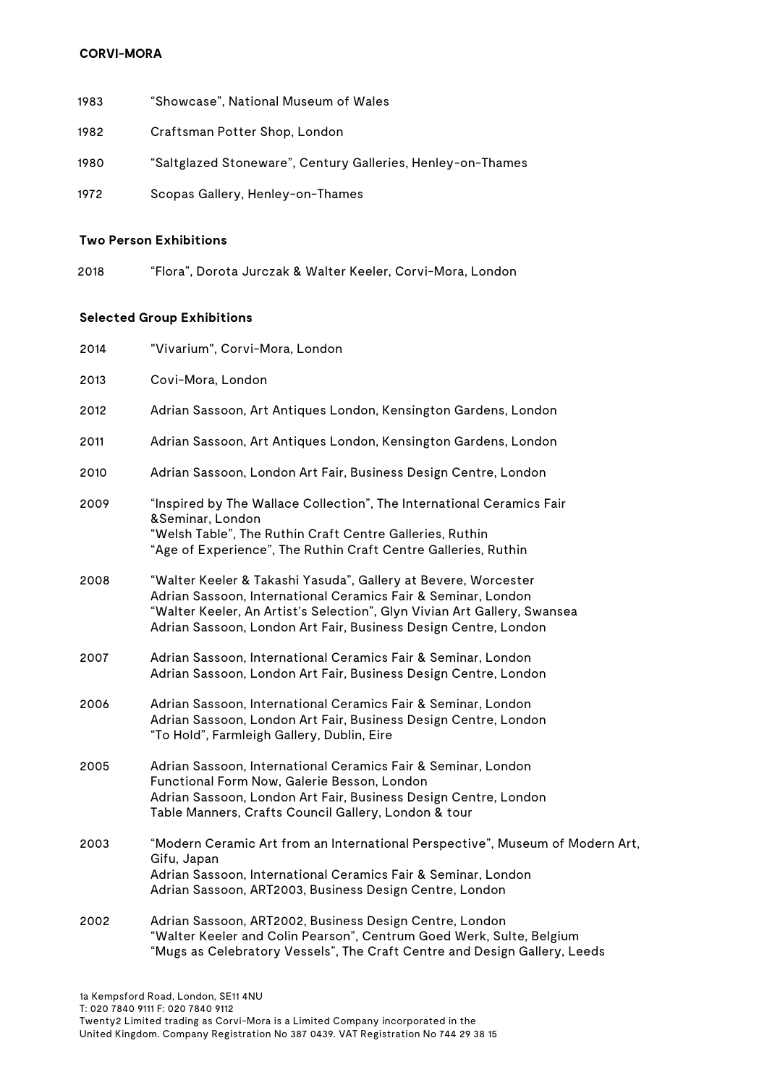- 1983 "Showcase", National Museum of Wales
- 1982 Craftsman Potter Shop, London
- 1980 "Saltglazed Stoneware", Century Galleries, Henley-on-Thames
- 1972 Scopas Gallery, Henley-on-Thames

#### **Two Person Exhibitions**

2018 "Flora", Dorota Jurczak & Walter Keeler, Corvi-Mora, London

### **Selected Group Exhibitions**

| 2014 | "Vivarium", Corvi-Mora, London                                                                                                                                                                                                                                                 |
|------|--------------------------------------------------------------------------------------------------------------------------------------------------------------------------------------------------------------------------------------------------------------------------------|
| 2013 | Covi-Mora, London                                                                                                                                                                                                                                                              |
| 2012 | Adrian Sassoon, Art Antiques London, Kensington Gardens, London                                                                                                                                                                                                                |
| 2011 | Adrian Sassoon, Art Antiques London, Kensington Gardens, London                                                                                                                                                                                                                |
| 2010 | Adrian Sassoon, London Art Fair, Business Design Centre, London                                                                                                                                                                                                                |
| 2009 | "Inspired by The Wallace Collection", The International Ceramics Fair<br>&Seminar, London<br>"Welsh Table", The Ruthin Craft Centre Galleries, Ruthin<br>"Age of Experience", The Ruthin Craft Centre Galleries, Ruthin                                                        |
| 2008 | "Walter Keeler & Takashi Yasuda", Gallery at Bevere, Worcester<br>Adrian Sassoon, International Ceramics Fair & Seminar, London<br>"Walter Keeler, An Artist's Selection", Glyn Vivian Art Gallery, Swansea<br>Adrian Sassoon, London Art Fair, Business Design Centre, London |
| 2007 | Adrian Sassoon, International Ceramics Fair & Seminar, London<br>Adrian Sassoon, London Art Fair, Business Design Centre, London                                                                                                                                               |
| 2006 | Adrian Sassoon, International Ceramics Fair & Seminar, London<br>Adrian Sassoon, London Art Fair, Business Design Centre, London<br>"To Hold", Farmleigh Gallery, Dublin, Eire                                                                                                 |
| 2005 | Adrian Sassoon, International Ceramics Fair & Seminar, London<br>Functional Form Now, Galerie Besson, London<br>Adrian Sassoon, London Art Fair, Business Design Centre, London<br>Table Manners, Crafts Council Gallery, London & tour                                        |
| 2003 | "Modern Ceramic Art from an International Perspective", Museum of Modern Art,<br>Gifu, Japan<br>Adrian Sassoon, International Ceramics Fair & Seminar, London<br>Adrian Sassoon, ART2003, Business Design Centre, London                                                       |
| 2002 | Adrian Sassoon, ART2002, Business Design Centre, London<br>"Walter Keeler and Colin Pearson", Centrum Goed Werk, Sulte, Belgium                                                                                                                                                |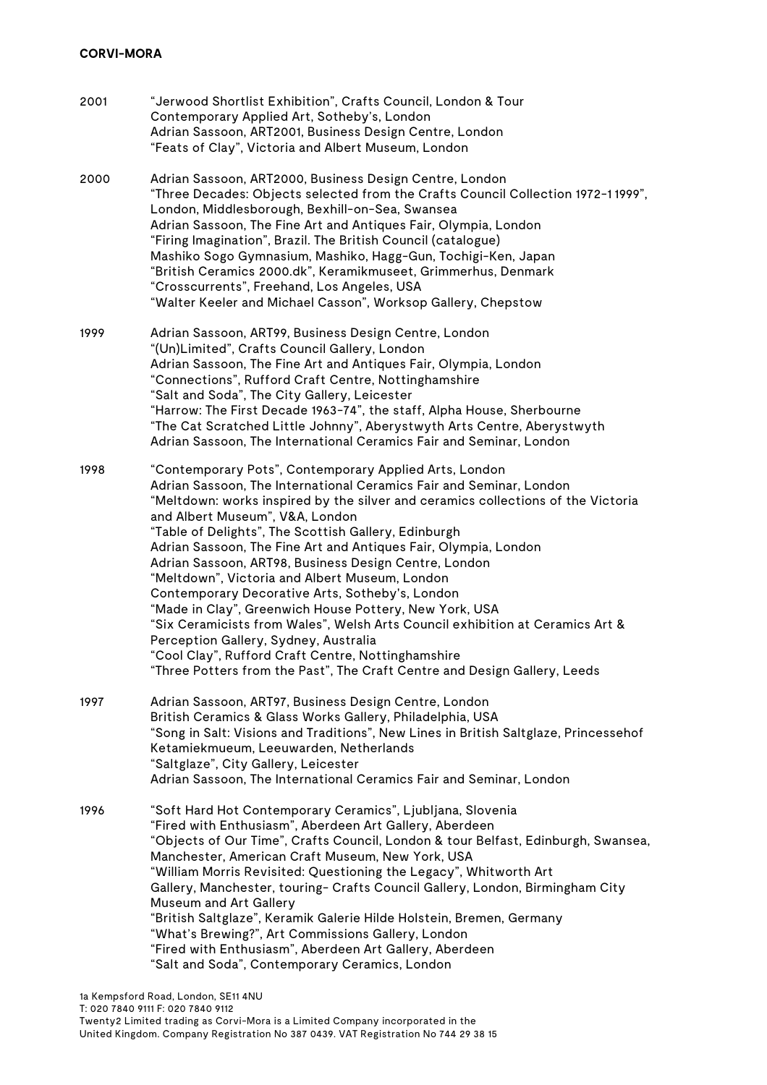| 2001 | "Jerwood Shortlist Exhibition", Crafts Council, London & Tour<br>Contemporary Applied Art, Sotheby's, London<br>Adrian Sassoon, ART2001, Business Design Centre, London<br>"Feats of Clay", Victoria and Albert Museum, London                                                                                                                                                                                                                                                                                                                                                                                                                                                                                                                                                                                                                                       |
|------|----------------------------------------------------------------------------------------------------------------------------------------------------------------------------------------------------------------------------------------------------------------------------------------------------------------------------------------------------------------------------------------------------------------------------------------------------------------------------------------------------------------------------------------------------------------------------------------------------------------------------------------------------------------------------------------------------------------------------------------------------------------------------------------------------------------------------------------------------------------------|
| 2000 | Adrian Sassoon, ART2000, Business Design Centre, London<br>"Three Decades: Objects selected from the Crafts Council Collection 1972-11999",<br>London, Middlesborough, Bexhill-on-Sea, Swansea<br>Adrian Sassoon, The Fine Art and Antiques Fair, Olympia, London<br>"Firing Imagination", Brazil. The British Council (catalogue)<br>Mashiko Sogo Gymnasium, Mashiko, Hagg-Gun, Tochigi-Ken, Japan<br>"British Ceramics 2000.dk", Keramikmuseet, Grimmerhus, Denmark<br>"Crosscurrents", Freehand, Los Angeles, USA<br>"Walter Keeler and Michael Casson", Worksop Gallery, Chepstow                                                                                                                                                                                                                                                                                |
| 1999 | Adrian Sassoon, ART99, Business Design Centre, London<br>"(Un)Limited", Crafts Council Gallery, London<br>Adrian Sassoon, The Fine Art and Antiques Fair, Olympia, London<br>"Connections", Rufford Craft Centre, Nottinghamshire<br>"Salt and Soda", The City Gallery, Leicester<br>"Harrow: The First Decade 1963-74", the staff, Alpha House, Sherbourne<br>"The Cat Scratched Little Johnny", Aberystwyth Arts Centre, Aberystwyth<br>Adrian Sassoon, The International Ceramics Fair and Seminar, London                                                                                                                                                                                                                                                                                                                                                        |
| 1998 | "Contemporary Pots", Contemporary Applied Arts, London<br>Adrian Sassoon, The International Ceramics Fair and Seminar, London<br>"Meltdown: works inspired by the silver and ceramics collections of the Victoria<br>and Albert Museum", V&A, London<br>"Table of Delights", The Scottish Gallery, Edinburgh<br>Adrian Sassoon, The Fine Art and Antiques Fair, Olympia, London<br>Adrian Sassoon, ART98, Business Design Centre, London<br>"Meltdown", Victoria and Albert Museum, London<br>Contemporary Decorative Arts, Sotheby's, London<br>"Made in Clay", Greenwich House Pottery, New York, USA<br>"Six Ceramicists from Wales", Welsh Arts Council exhibition at Ceramics Art &<br>Perception Gallery, Sydney, Australia<br>"Cool Clay", Rufford Craft Centre, Nottinghamshire<br>"Three Potters from the Past", The Craft Centre and Design Gallery, Leeds |
| 1997 | Adrian Sassoon, ART97, Business Design Centre, London<br>British Ceramics & Glass Works Gallery, Philadelphia, USA<br>"Song in Salt: Visions and Traditions", New Lines in British Saltglaze, Princessehof<br>Ketamiekmueum, Leeuwarden, Netherlands<br>"Saltglaze", City Gallery, Leicester<br>Adrian Sassoon, The International Ceramics Fair and Seminar, London                                                                                                                                                                                                                                                                                                                                                                                                                                                                                                  |
| 1996 | "Soft Hard Hot Contemporary Ceramics", Ljubljana, Slovenia<br>"Fired with Enthusiasm", Aberdeen Art Gallery, Aberdeen<br>"Objects of Our Time", Crafts Council, London & tour Belfast, Edinburgh, Swansea,<br>Manchester, American Craft Museum, New York, USA<br>"William Morris Revisited: Questioning the Legacy", Whitworth Art<br>Gallery, Manchester, touring- Crafts Council Gallery, London, Birmingham City<br>Museum and Art Gallery<br>"British Saltglaze", Keramik Galerie Hilde Holstein, Bremen, Germany<br>"What's Brewing?", Art Commissions Gallery, London<br>"Fired with Enthusiasm", Aberdeen Art Gallery, Aberdeen<br>"Salt and Soda", Contemporary Ceramics, London                                                                                                                                                                            |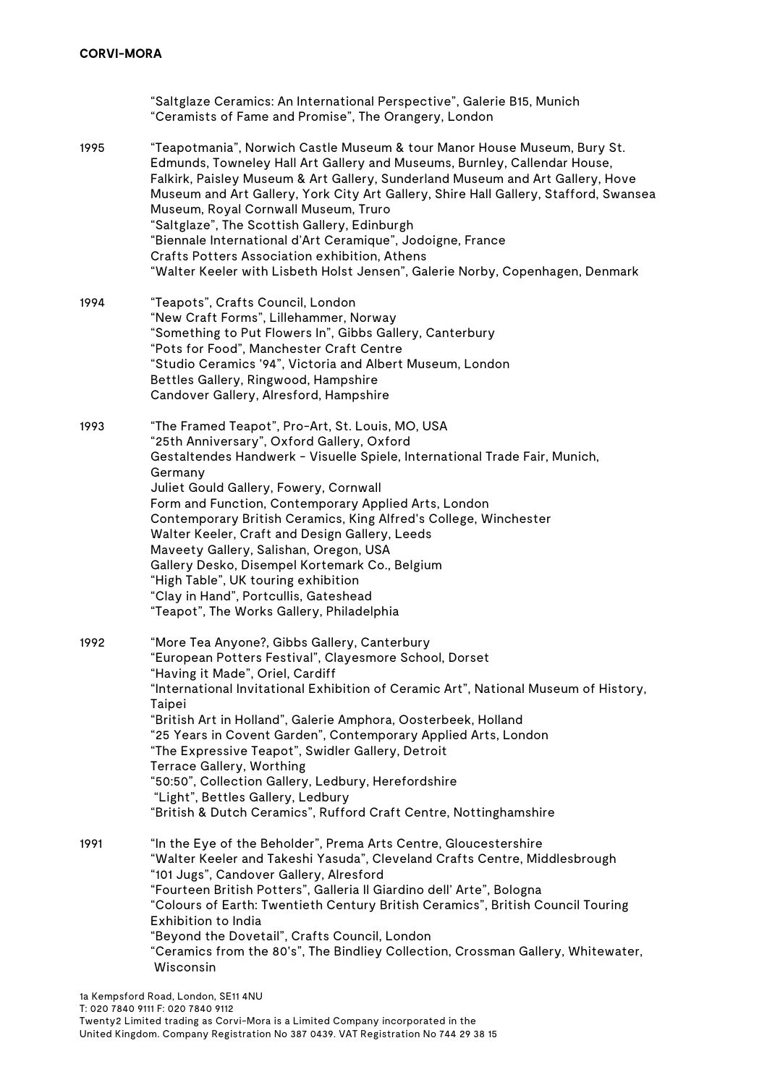"Saltglaze Ceramics: An International Perspective", Galerie B15, Munich "Ceramists of Fame and Promise", The Orangery, London

- 1995 "Teapotmania", Norwich Castle Museum & tour Manor House Museum, Bury St. Edmunds, Towneley Hall Art Gallery and Museums, Burnley, Callendar House, Falkirk, Paisley Museum & Art Gallery, Sunderland Museum and Art Gallery, Hove Museum and Art Gallery, York City Art Gallery, Shire Hall Gallery, Stafford, Swansea Museum, Royal Cornwall Museum, Truro "Saltglaze", The Scottish Gallery, Edinburgh "Biennale International d'Art Ceramique", Jodoigne, France Crafts Potters Association exhibition, Athens "Walter Keeler with Lisbeth Holst Jensen", Galerie Norby, Copenhagen, Denmark
- 1994 "Teapots", Crafts Council, London "New Craft Forms", Lillehammer, Norway "Something to Put Flowers In", Gibbs Gallery, Canterbury "Pots for Food", Manchester Craft Centre "Studio Ceramics '94", Victoria and Albert Museum, London Bettles Gallery, Ringwood, Hampshire Candover Gallery, Alresford, Hampshire
- 1993 "The Framed Teapot", Pro-Art, St. Louis, MO, USA "25th Anniversary", Oxford Gallery, Oxford Gestaltendes Handwerk - Visuelle Spiele, International Trade Fair, Munich, Germany Juliet Gould Gallery, Fowery, Cornwall Form and Function, Contemporary Applied Arts, London Contemporary British Ceramics, King Alfred's College, Winchester Walter Keeler, Craft and Design Gallery, Leeds Maveety Gallery, Salishan, Oregon, USA Gallery Desko, Disempel Kortemark Co., Belgium "High Table", UK touring exhibition "Clay in Hand", Portcullis, Gateshead "Teapot", The Works Gallery, Philadelphia
- 1992 "More Tea Anyone?, Gibbs Gallery, Canterbury "European Potters Festival", Clayesmore School, Dorset "Having it Made", Oriel, Cardiff "International Invitational Exhibition of Ceramic Art", National Museum of History, Taipei "British Art in Holland", Galerie Amphora, Oosterbeek, Holland "25 Years in Covent Garden", Contemporary Applied Arts, London "The Expressive Teapot", Swidler Gallery, Detroit Terrace Gallery, Worthing "50:50", Collection Gallery, Ledbury, Herefordshire "Light", Bettles Gallery, Ledbury "British & Dutch Ceramics", Rufford Craft Centre, Nottinghamshire
- 1991 "In the Eye of the Beholder", Prema Arts Centre, Gloucestershire "Walter Keeler and Takeshi Yasuda", Cleveland Crafts Centre, Middlesbrough "101 Jugs", Candover Gallery, Alresford "Fourteen British Potters", Galleria Il Giardino dell' Arte", Bologna "Colours of Earth: Twentieth Century British Ceramics", British Council Touring Exhibition to India "Beyond the Dovetail", Crafts Council, London "Ceramics from the 80's", The Bindliey Collection, Crossman Gallery, Whitewater, Wisconsin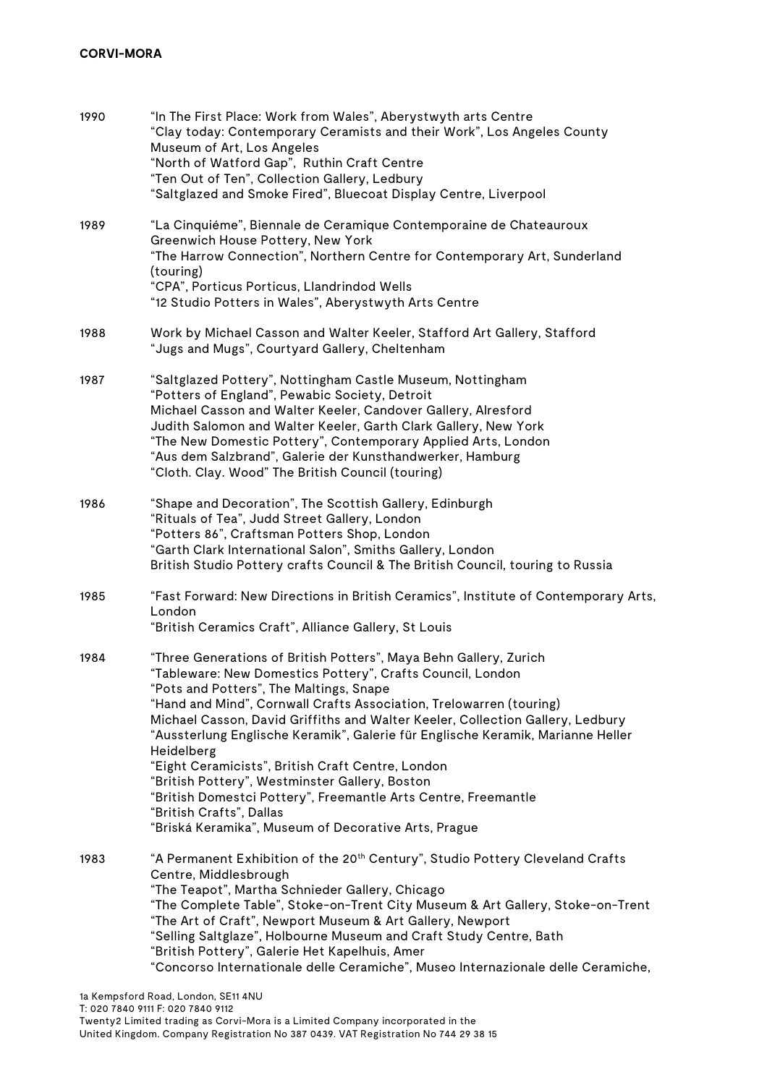| 1990 | "In The First Place: Work from Wales", Aberystwyth arts Centre<br>"Clay today: Contemporary Ceramists and their Work", Los Angeles County<br>Museum of Art, Los Angeles<br>"North of Watford Gap", Ruthin Craft Centre<br>"Ten Out of Ten", Collection Gallery, Ledbury<br>"Saltglazed and Smoke Fired", Bluecoat Display Centre, Liverpool                                                                                                                                                                                                                                                                                                                                                       |
|------|---------------------------------------------------------------------------------------------------------------------------------------------------------------------------------------------------------------------------------------------------------------------------------------------------------------------------------------------------------------------------------------------------------------------------------------------------------------------------------------------------------------------------------------------------------------------------------------------------------------------------------------------------------------------------------------------------|
| 1989 | "La Cinquiéme", Biennale de Ceramique Contemporaine de Chateauroux<br>Greenwich House Pottery, New York<br>"The Harrow Connection", Northern Centre for Contemporary Art, Sunderland<br>(touring)<br>"CPA", Porticus Porticus, Llandrindod Wells<br>"12 Studio Potters in Wales", Aberystwyth Arts Centre                                                                                                                                                                                                                                                                                                                                                                                         |
| 1988 | Work by Michael Casson and Walter Keeler, Stafford Art Gallery, Stafford<br>"Jugs and Mugs", Courtyard Gallery, Cheltenham                                                                                                                                                                                                                                                                                                                                                                                                                                                                                                                                                                        |
| 1987 | "Saltglazed Pottery", Nottingham Castle Museum, Nottingham<br>"Potters of England", Pewabic Society, Detroit<br>Michael Casson and Walter Keeler, Candover Gallery, Alresford<br>Judith Salomon and Walter Keeler, Garth Clark Gallery, New York<br>"The New Domestic Pottery", Contemporary Applied Arts, London<br>"Aus dem Salzbrand", Galerie der Kunsthandwerker, Hamburg<br>"Cloth. Clay. Wood" The British Council (touring)                                                                                                                                                                                                                                                               |
| 1986 | "Shape and Decoration", The Scottish Gallery, Edinburgh<br>"Rituals of Tea", Judd Street Gallery, London<br>"Potters 86", Craftsman Potters Shop, London<br>"Garth Clark International Salon", Smiths Gallery, London<br>British Studio Pottery crafts Council & The British Council, touring to Russia                                                                                                                                                                                                                                                                                                                                                                                           |
| 1985 | "Fast Forward: New Directions in British Ceramics", Institute of Contemporary Arts,<br>London<br>"British Ceramics Craft", Alliance Gallery, St Louis                                                                                                                                                                                                                                                                                                                                                                                                                                                                                                                                             |
| 1984 | "Three Generations of British Potters", Maya Behn Gallery, Zurich<br>"Tableware: New Domestics Pottery", Crafts Council, London<br>"Pots and Potters", The Maltings, Snape<br>"Hand and Mind", Cornwall Crafts Association, Trelowarren (touring)<br>Michael Casson, David Griffiths and Walter Keeler, Collection Gallery, Ledbury<br>"Aussterlung Englische Keramik", Galerie für Englische Keramik, Marianne Heller<br>Heidelberg<br>"Eight Ceramicists", British Craft Centre, London<br>"British Pottery", Westminster Gallery, Boston<br>"British Domestci Pottery", Freemantle Arts Centre, Freemantle<br>"British Crafts", Dallas<br>"Briská Keramika", Museum of Decorative Arts, Prague |
| 1983 | "A Permanent Exhibition of the 20 <sup>th</sup> Century", Studio Pottery Cleveland Crafts<br>Centre, Middlesbrough<br>"The Teapot", Martha Schnieder Gallery, Chicago<br>"The Complete Table", Stoke-on-Trent City Museum & Art Gallery, Stoke-on-Trent<br>"The Art of Craft", Newport Museum & Art Gallery, Newport<br>"Selling Saltglaze", Holbourne Museum and Craft Study Centre, Bath<br>"British Pottery", Galerie Het Kapelhuis, Amer<br>"Concorso Internationale delle Ceramiche", Museo Internazionale delle Ceramiche,                                                                                                                                                                  |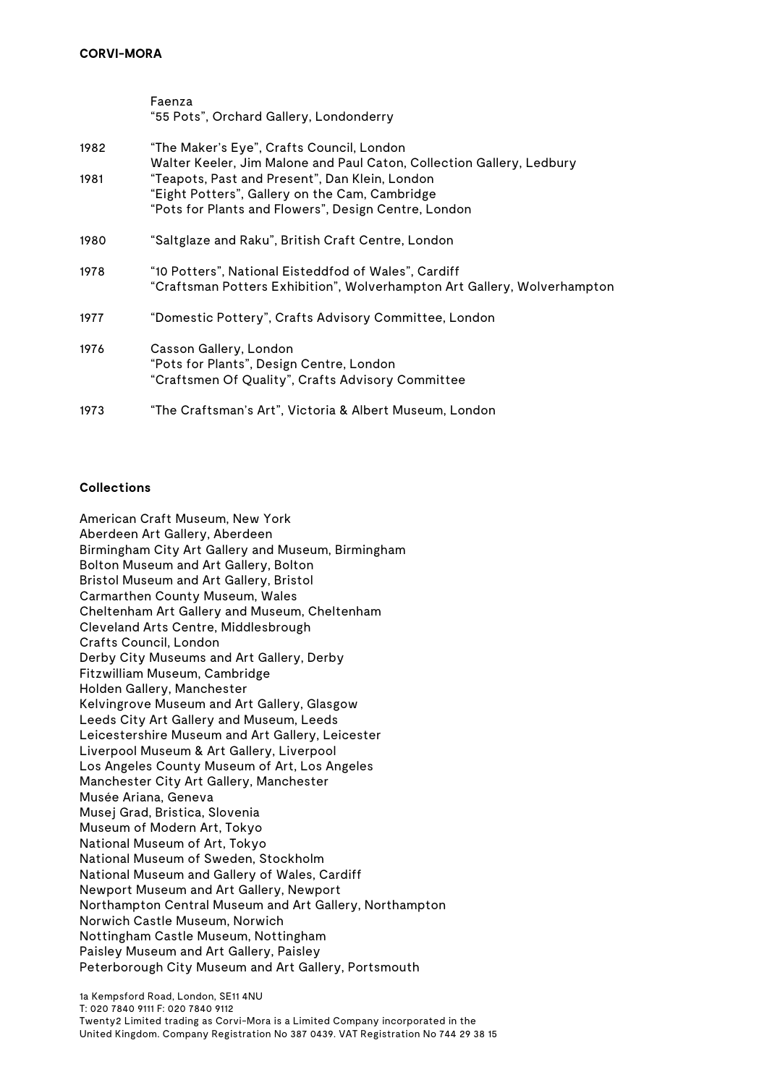|      | Faenza                                                                                                                                                   |
|------|----------------------------------------------------------------------------------------------------------------------------------------------------------|
|      | "55 Pots", Orchard Gallery, Londonderry                                                                                                                  |
| 1982 | "The Maker's Eye", Crafts Council, London<br>Walter Keeler, Jim Malone and Paul Caton, Collection Gallery, Ledbury                                       |
| 1981 | "Teapots, Past and Present", Dan Klein, London<br>"Eight Potters", Gallery on the Cam, Cambridge<br>"Pots for Plants and Flowers", Design Centre, London |
| 1980 | "Saltglaze and Raku", British Craft Centre, London                                                                                                       |
| 1978 | "10 Potters", National Eisteddfod of Wales", Cardiff<br>"Craftsman Potters Exhibition", Wolverhampton Art Gallery, Wolverhampton                         |
| 1977 | "Domestic Pottery", Crafts Advisory Committee, London                                                                                                    |
| 1976 | Casson Gallery, London<br>"Pots for Plants", Design Centre, London<br>"Craftsmen Of Quality", Crafts Advisory Committee                                  |
| 1973 | "The Craftsman's Art", Victoria & Albert Museum, London                                                                                                  |

### **Collections**

American Craft Museum, New York Aberdeen Art Gallery, Aberdeen Birmingham City Art Gallery and Museum, Birmingham Bolton Museum and Art Gallery, Bolton Bristol Museum and Art Gallery, Bristol Carmarthen County Museum, Wales Cheltenham Art Gallery and Museum, Cheltenham Cleveland Arts Centre, Middlesbrough Crafts Council, London Derby City Museums and Art Gallery, Derby Fitzwilliam Museum, Cambridge Holden Gallery, Manchester Kelvingrove Museum and Art Gallery, Glasgow Leeds City Art Gallery and Museum, Leeds Leicestershire Museum and Art Gallery, Leicester Liverpool Museum & Art Gallery, Liverpool Los Angeles County Museum of Art, Los Angeles Manchester City Art Gallery, Manchester Musée Ariana, Geneva Musej Grad, Bristica, Slovenia Museum of Modern Art, Tokyo National Museum of Art, Tokyo National Museum of Sweden, Stockholm National Museum and Gallery of Wales, Cardiff Newport Museum and Art Gallery, Newport Northampton Central Museum and Art Gallery, Northampton Norwich Castle Museum, Norwich Nottingham Castle Museum, Nottingham Paisley Museum and Art Gallery, Paisley Peterborough City Museum and Art Gallery, Portsmouth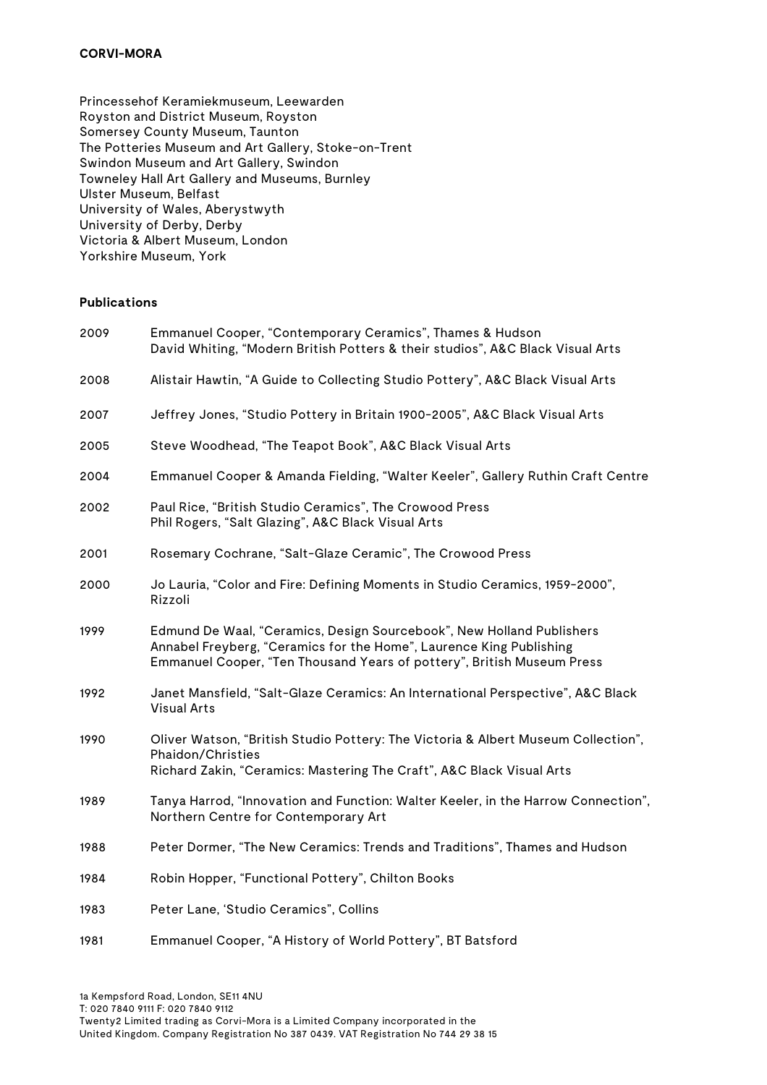Princessehof Keramiekmuseum, Leewarden Royston and District Museum, Royston Somersey County Museum, Taunton The Potteries Museum and Art Gallery, Stoke-on-Trent Swindon Museum and Art Gallery, Swindon Towneley Hall Art Gallery and Museums, Burnley Ulster Museum, Belfast University of Wales, Aberystwyth University of Derby, Derby Victoria & Albert Museum, London Yorkshire Museum, York

### **Publications**

| 2009 | Emmanuel Cooper, "Contemporary Ceramics", Thames & Hudson<br>David Whiting, "Modern British Potters & their studios", A&C Black Visual Arts                                                                            |
|------|------------------------------------------------------------------------------------------------------------------------------------------------------------------------------------------------------------------------|
| 2008 | Alistair Hawtin, "A Guide to Collecting Studio Pottery", A&C Black Visual Arts                                                                                                                                         |
| 2007 | Jeffrey Jones, "Studio Pottery in Britain 1900-2005", A&C Black Visual Arts                                                                                                                                            |
| 2005 | Steve Woodhead, "The Teapot Book", A&C Black Visual Arts                                                                                                                                                               |
| 2004 | Emmanuel Cooper & Amanda Fielding, "Walter Keeler", Gallery Ruthin Craft Centre                                                                                                                                        |
| 2002 | Paul Rice, "British Studio Ceramics", The Crowood Press<br>Phil Rogers, "Salt Glazing", A&C Black Visual Arts                                                                                                          |
| 2001 | Rosemary Cochrane, "Salt-Glaze Ceramic", The Crowood Press                                                                                                                                                             |
| 2000 | Jo Lauria, "Color and Fire: Defining Moments in Studio Ceramics, 1959-2000",<br>Rizzoli                                                                                                                                |
| 1999 | Edmund De Waal, "Ceramics, Design Sourcebook", New Holland Publishers<br>Annabel Freyberg, "Ceramics for the Home", Laurence King Publishing<br>Emmanuel Cooper, "Ten Thousand Years of pottery", British Museum Press |
| 1992 | Janet Mansfield, "Salt-Glaze Ceramics: An International Perspective", A&C Black<br><b>Visual Arts</b>                                                                                                                  |
| 1990 | Oliver Watson, "British Studio Pottery: The Victoria & Albert Museum Collection",<br>Phaidon/Christies<br>Richard Zakin, "Ceramics: Mastering The Craft", A&C Black Visual Arts                                        |
| 1989 | Tanya Harrod, "Innovation and Function: Walter Keeler, in the Harrow Connection",<br>Northern Centre for Contemporary Art                                                                                              |
| 1988 | Peter Dormer, "The New Ceramics: Trends and Traditions", Thames and Hudson                                                                                                                                             |
| 1984 | Robin Hopper, "Functional Pottery", Chilton Books                                                                                                                                                                      |
| 1983 | Peter Lane, 'Studio Ceramics", Collins                                                                                                                                                                                 |
| 1981 | Emmanuel Cooper, "A History of World Pottery", BT Batsford                                                                                                                                                             |